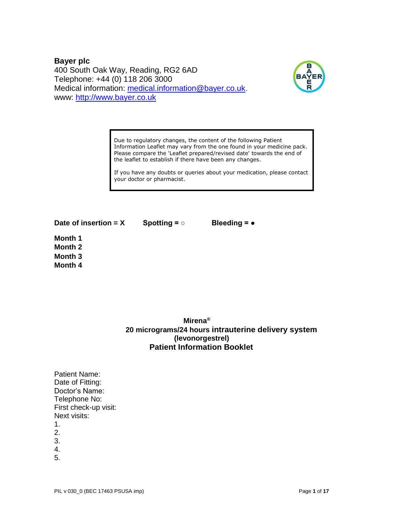**Bayer plc** 400 South Oak Way, Reading, RG2 6AD Telephone: +44 (0) 118 206 3000 Medical information: [medical.information@bayer.co.uk.](mailto:medical.information@bayer.co.uk) www: [http://www.bayer.co.uk](http://www.bayer.co.uk/)



Due to regulatory changes, the content of the following Patient Information Leaflet may vary from the one found in your medicine pack. Please compare the 'Leaflet prepared/revised date' towards the end of the leaflet to establish if there have been any changes.

If you have any doubts or queries about your medication, please contact your doctor or pharmacist.

**Date of insertion = X Spotting = ○ Bleeding = ●** 

**Month 1 Month 2 Month 3 Month 4** 

# **Mirena® 20 micrograms/24 hours intrauterine delivery system (levonorgestrel) Patient Information Booklet**

Patient Name: Date of Fitting: Doctor's Name: Telephone No: First check-up visit: Next visits:

- 1.
- 2.
- 3.
- 4.
- 5.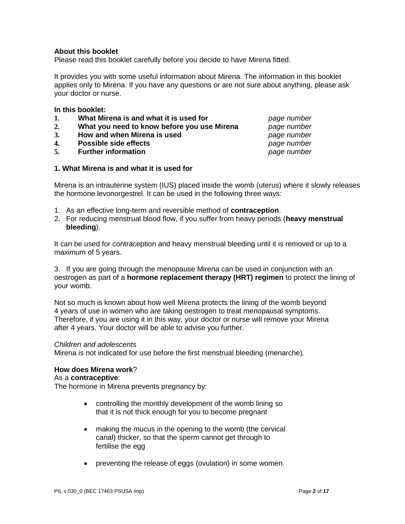### **About this booklet**

Please read this booklet carefully before you decide to have Mirena fitted.

It provides you with some useful information about Mirena. The information in this booklet applies only to Mirena. If you have any questions or are not sure about anything, please ask your doctor or nurse.

#### **In this booklet:**

- **1. What Mirena is and what it is used for** *page number*
- **2. What you need to know before you use Mirena** *page number*
- **3. How and when Mirena is used** *page number*
- **4. Possible side effects** *page number*
- **5. Further information** *page number*

### **1. What Mirena is and what it is used for**

Mirena is an intrauterine system (IUS) placed inside the womb (uterus) where it slowly releases the hormone levonorgestrel. It can be used in the following three ways:

- 1. As an effective long-term and reversible method of **contraception**.
- 2. For reducing menstrual blood flow, if you suffer from heavy periods (**heavy menstrual bleeding**).

It can be used for contraception and heavy menstrual bleeding until it is removed or up to a maximum of 5 years.

3. If you are going through the menopause Mirena can be used in conjunction with an oestrogen as part of a **hormone replacement therapy (HRT) regimen** to protect the lining of your womb.

Not so much is known about how well Mirena protects the lining of the womb beyond 4 years of use in women who are taking oestrogen to treat menopausal symptoms. Therefore, if you are using it in this way, your doctor or nurse will remove your Mirena after 4 years. Your doctor will be able to advise you further.

#### *Children and adolescents*

Mirena is not indicated for use before the first menstrual bleeding (menarche).

#### **How does Mirena work**?

#### As a **contraceptive**:

The hormone in Mirena prevents pregnancy by:

- controlling the monthly development of the womb lining so that it is not thick enough for you to become pregnant
- making the mucus in the opening to the womb (the cervical canal) thicker, so that the sperm cannot get through to fertilise the egg
- preventing the release of eggs (ovulation) in some women.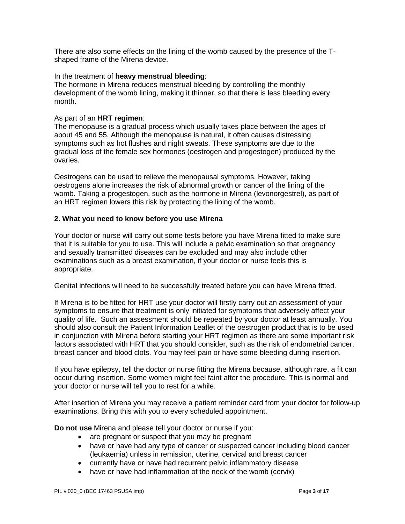There are also some effects on the lining of the womb caused by the presence of the Tshaped frame of the Mirena device.

### In the treatment of **heavy menstrual bleeding**:

The hormone in Mirena reduces menstrual bleeding by controlling the monthly development of the womb lining, making it thinner, so that there is less bleeding every month.

### As part of an **HRT regimen**:

The menopause is a gradual process which usually takes place between the ages of about 45 and 55. Although the menopause is natural, it often causes distressing symptoms such as hot flushes and night sweats. These symptoms are due to the gradual loss of the female sex hormones (oestrogen and progestogen) produced by the ovaries.

Oestrogens can be used to relieve the menopausal symptoms. However, taking oestrogens alone increases the risk of abnormal growth or cancer of the lining of the womb. Taking a progestogen, such as the hormone in Mirena (levonorgestrel), as part of an HRT regimen lowers this risk by protecting the lining of the womb.

### **2. What you need to know before you use Mirena**

Your doctor or nurse will carry out some tests before you have Mirena fitted to make sure that it is suitable for you to use. This will include a pelvic examination so that pregnancy and sexually transmitted diseases can be excluded and may also include other examinations such as a breast examination, if your doctor or nurse feels this is appropriate.

Genital infections will need to be successfully treated before you can have Mirena fitted.

If Mirena is to be fitted for HRT use your doctor will firstly carry out an assessment of your symptoms to ensure that treatment is only initiated for symptoms that adversely affect your quality of life. Such an assessment should be repeated by your doctor at least annually. You should also consult the Patient Information Leaflet of the oestrogen product that is to be used in conjunction with Mirena before starting your HRT regimen as there are some important risk factors associated with HRT that you should consider, such as the risk of endometrial cancer, breast cancer and blood clots. You may feel pain or have some bleeding during insertion.

If you have epilepsy, tell the doctor or nurse fitting the Mirena because, although rare, a fit can occur during insertion. Some women might feel faint after the procedure. This is normal and your doctor or nurse will tell you to rest for a while.

After insertion of Mirena you may receive a patient reminder card from your doctor for follow-up examinations. Bring this with you to every scheduled appointment.

**Do not use** Mirena and please tell your doctor or nurse if you:

- are pregnant or suspect that you may be pregnant
- have or have had any type of cancer or suspected cancer including blood cancer (leukaemia) unless in remission, uterine, cervical and breast cancer
- currently have or have had recurrent pelvic inflammatory disease
- have or have had inflammation of the neck of the womb (cervix)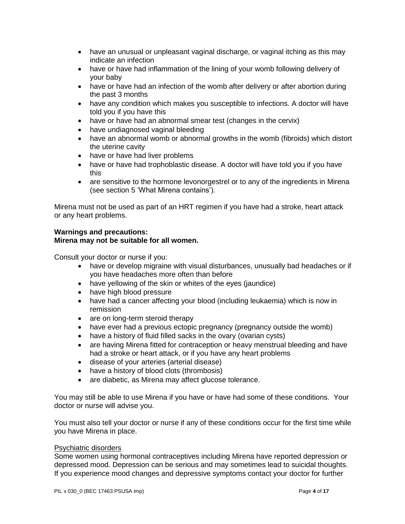- have an unusual or unpleasant vaginal discharge, or vaginal itching as this may indicate an infection
- have or have had inflammation of the lining of your womb following delivery of your baby
- have or have had an infection of the womb after delivery or after abortion during the past 3 months
- have any condition which makes you susceptible to infections. A doctor will have told you if you have this
- have or have had an abnormal smear test (changes in the cervix)
- have undiagnosed vaginal bleeding
- have an abnormal womb or abnormal growths in the womb (fibroids) which distort the uterine cavity
- have or have had liver problems
- have or have had trophoblastic disease. A doctor will have told you if you have this
- are sensitive to the hormone levonorgestrel or to any of the ingredients in Mirena (see section 5 'What Mirena contains').

Mirena must not be used as part of an HRT regimen if you have had a stroke, heart attack or any heart problems.

### **Warnings and precautions: Mirena may not be suitable for all women.**

Consult your doctor or nurse if you:

- have or develop migraine with visual disturbances, unusually bad headaches or if you have headaches more often than before
- have yellowing of the skin or whites of the eyes (jaundice)
- have high blood pressure
- have had a cancer affecting your blood (including leukaemia) which is now in remission
- are on long-term steroid therapy
- have ever had a previous ectopic pregnancy (pregnancy outside the womb)
- have a history of fluid filled sacks in the ovary (ovarian cysts)
- are having Mirena fitted for contraception or heavy menstrual bleeding and have had a stroke or heart attack, or if you have any heart problems
- disease of your arteries (arterial disease)
- have a history of blood clots (thrombosis)
- are diabetic, as Mirena may affect glucose tolerance.

You may still be able to use Mirena if you have or have had some of these conditions. Your doctor or nurse will advise you.

You must also tell your doctor or nurse if any of these conditions occur for the first time while you have Mirena in place.

### Psychiatric disorders

Some women using hormonal contraceptives including Mirena have reported depression or depressed mood. Depression can be serious and may sometimes lead to suicidal thoughts. If you experience mood changes and depressive symptoms contact your doctor for further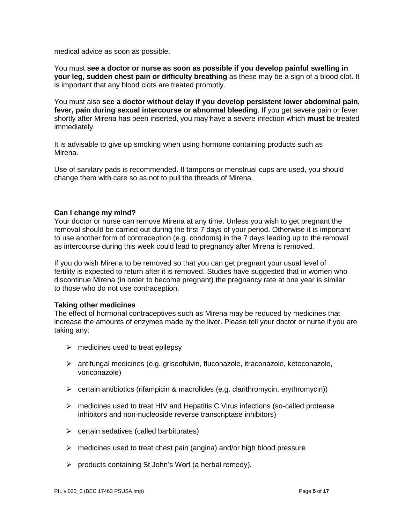medical advice as soon as possible.

You must **see a doctor or nurse as soon as possible if you develop painful swelling in your leg, sudden chest pain or difficulty breathing** as these may be a sign of a blood clot. It is important that any blood clots are treated promptly.

You must also **see a doctor without delay if you develop persistent lower abdominal pain, fever, pain during sexual intercourse or abnormal bleeding**. If you get severe pain or fever shortly after Mirena has been inserted, you may have a severe infection which **must** be treated immediately.

It is advisable to give up smoking when using hormone containing products such as Mirena.

Use of sanitary pads is recommended. If tampons or menstrual cups are used, you should change them with care so as not to pull the threads of Mirena.

### **Can I change my mind?**

Your doctor or nurse can remove Mirena at any time. Unless you wish to get pregnant the removal should be carried out during the first 7 days of your period. Otherwise it is important to use another form of contraception (e.g. condoms) in the 7 days leading up to the removal as intercourse during this week could lead to pregnancy after Mirena is removed.

If you do wish Mirena to be removed so that you can get pregnant your usual level of fertility is expected to return after it is removed. Studies have suggested that in women who discontinue Mirena (in order to become pregnant) the pregnancy rate at one year is similar to those who do not use contraception.

### **Taking other medicines**

The effect of hormonal contraceptives such as Mirena may be reduced by medicines that increase the amounts of enzymes made by the liver. Please tell your doctor or nurse if you are taking any:

- $\triangleright$  medicines used to treat epilepsy
- ➢ antifungal medicines (e.g. griseofulvin, fluconazole, itraconazole, ketoconazole, voriconazole)
- ➢ certain antibiotics (rifampicin & macrolides (e.g. clarithromycin, erythromycin))
- $\triangleright$  medicines used to treat HIV and Hepatitis C Virus infections (so-called protease inhibitors and non-nucleoside reverse transcriptase inhibitors)
- $\triangleright$  certain sedatives (called barbiturates)
- ➢ medicines used to treat chest pain (angina) and/or high blood pressure
- ➢ products containing St John's Wort (a herbal remedy).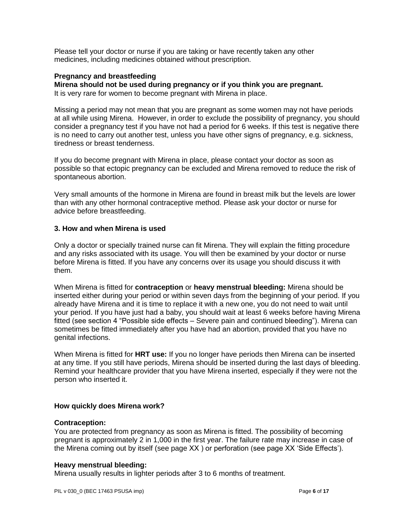Please tell your doctor or nurse if you are taking or have recently taken any other medicines, including medicines obtained without prescription.

### **Pregnancy and breastfeeding**

**Mirena should not be used during pregnancy or if you think you are pregnant.** 

It is very rare for women to become pregnant with Mirena in place.

Missing a period may not mean that you are pregnant as some women may not have periods at all while using Mirena. However, in order to exclude the possibility of pregnancy, you should consider a pregnancy test if you have not had a period for 6 weeks. If this test is negative there is no need to carry out another test, unless you have other signs of pregnancy, e.g. sickness, tiredness or breast tenderness.

If you do become pregnant with Mirena in place, please contact your doctor as soon as possible so that ectopic pregnancy can be excluded and Mirena removed to reduce the risk of spontaneous abortion.

Very small amounts of the hormone in Mirena are found in breast milk but the levels are lower than with any other hormonal contraceptive method. Please ask your doctor or nurse for advice before breastfeeding.

### **3. How and when Mirena is used**

Only a doctor or specially trained nurse can fit Mirena. They will explain the fitting procedure and any risks associated with its usage. You will then be examined by your doctor or nurse before Mirena is fitted. If you have any concerns over its usage you should discuss it with them.

When Mirena is fitted for **contraception** or **heavy menstrual bleeding:** Mirena should be inserted either during your period or within seven days from the beginning of your period. If you already have Mirena and it is time to replace it with a new one, you do not need to wait until your period. If you have just had a baby, you should wait at least 6 weeks before having Mirena fitted (see section 4 "Possible side effects – Severe pain and continued bleeding"). Mirena can sometimes be fitted immediately after you have had an abortion, provided that you have no genital infections.

When Mirena is fitted for **HRT use:** If you no longer have periods then Mirena can be inserted at any time. If you still have periods, Mirena should be inserted during the last days of bleeding. Remind your healthcare provider that you have Mirena inserted, especially if they were not the person who inserted it.

### **How quickly does Mirena work?**

### **Contraception:**

You are protected from pregnancy as soon as Mirena is fitted. The possibility of becoming pregnant is approximately 2 in 1,000 in the first year. The failure rate may increase in case of the Mirena coming out by itself (see page XX ) or perforation (see page XX 'Side Effects').

### **Heavy menstrual bleeding:**

Mirena usually results in lighter periods after 3 to 6 months of treatment.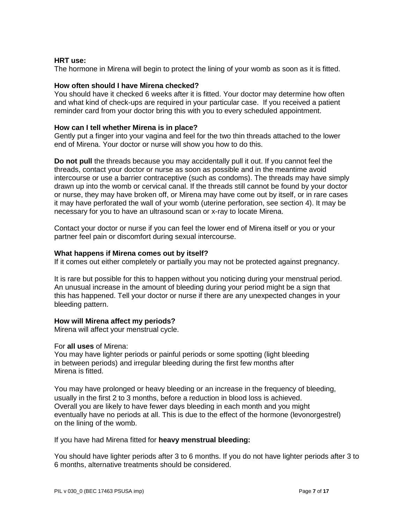### **HRT use:**

The hormone in Mirena will begin to protect the lining of your womb as soon as it is fitted.

### **How often should I have Mirena checked?**

You should have it checked 6 weeks after it is fitted. Your doctor may determine how often and what kind of check-ups are required in your particular case. If you received a patient reminder card from your doctor bring this with you to every scheduled appointment.

### **How can I tell whether Mirena is in place?**

Gently put a finger into your vagina and feel for the two thin threads attached to the lower end of Mirena. Your doctor or nurse will show you how to do this.

**Do not pull** the threads because you may accidentally pull it out. If you cannot feel the threads, contact your doctor or nurse as soon as possible and in the meantime avoid intercourse or use a barrier contraceptive (such as condoms). The threads may have simply drawn up into the womb or cervical canal. If the threads still cannot be found by your doctor or nurse, they may have broken off, or Mirena may have come out by itself, or in rare cases it may have perforated the wall of your womb (uterine perforation, see section 4). It may be necessary for you to have an ultrasound scan or x-ray to locate Mirena.

Contact your doctor or nurse if you can feel the lower end of Mirena itself or you or your partner feel pain or discomfort during sexual intercourse.

### **What happens if Mirena comes out by itself?**

If it comes out either completely or partially you may not be protected against pregnancy.

It is rare but possible for this to happen without you noticing during your menstrual period. An unusual increase in the amount of bleeding during your period might be a sign that this has happened. Tell your doctor or nurse if there are any unexpected changes in your bleeding pattern.

### **How will Mirena affect my periods?**

Mirena will affect your menstrual cycle.

### For **all uses** of Mirena:

You may have lighter periods or painful periods or some spotting (light bleeding in between periods) and irregular bleeding during the first few months after Mirena is fitted.

You may have prolonged or heavy bleeding or an increase in the frequency of bleeding, usually in the first 2 to 3 months, before a reduction in blood loss is achieved. Overall you are likely to have fewer days bleeding in each month and you might eventually have no periods at all. This is due to the effect of the hormone (levonorgestrel) on the lining of the womb.

If you have had Mirena fitted for **heavy menstrual bleeding:**

You should have lighter periods after 3 to 6 months. If you do not have lighter periods after 3 to 6 months, alternative treatments should be considered.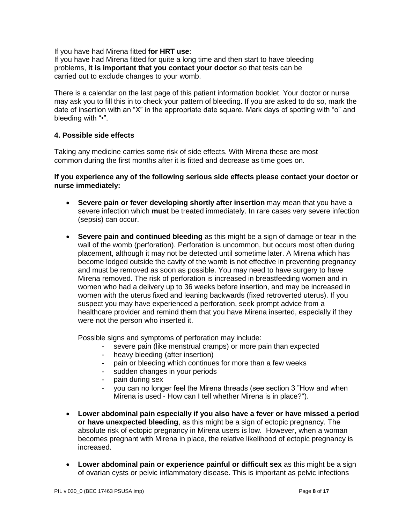If you have had Mirena fitted **for HRT use**:

If you have had Mirena fitted for quite a long time and then start to have bleeding problems, **it is important that you contact your doctor** so that tests can be carried out to exclude changes to your womb.

There is a calendar on the last page of this patient information booklet. Your doctor or nurse may ask you to fill this in to check your pattern of bleeding. If you are asked to do so, mark the date of insertion with an "X" in the appropriate date square. Mark days of spotting with "o" and bleeding with "•".

### **4. Possible side effects**

Taking any medicine carries some risk of side effects. With Mirena these are most common during the first months after it is fitted and decrease as time goes on.

### **If you experience any of the following serious side effects please contact your doctor or nurse immediately:**

- **Severe pain or fever developing shortly after insertion** may mean that you have a severe infection which **must** be treated immediately. In rare cases very severe infection (sepsis) can occur.
- **Severe pain and continued bleeding** as this might be a sign of damage or tear in the wall of the womb (perforation). Perforation is uncommon, but occurs most often during placement, although it may not be detected until sometime later. A Mirena which has become lodged outside the cavity of the womb is not effective in preventing pregnancy and must be removed as soon as possible. You may need to have surgery to have Mirena removed. The risk of perforation is increased in breastfeeding women and in women who had a delivery up to 36 weeks before insertion, and may be increased in women with the uterus fixed and leaning backwards (fixed retroverted uterus). If you suspect you may have experienced a perforation, seek prompt advice from a healthcare provider and remind them that you have Mirena inserted, especially if they were not the person who inserted it.

Possible signs and symptoms of perforation may include:

- severe pain (like menstrual cramps) or more pain than expected
- heavy bleeding (after insertion)
- pain or bleeding which continues for more than a few weeks
- sudden changes in your periods
- pain during sex
- you can no longer feel the Mirena threads (see section 3 "How and when Mirena is used - How can I tell whether Mirena is in place?").
- **Lower abdominal pain especially if you also have a fever or have missed a period or have unexpected bleeding**, as this might be a sign of ectopic pregnancy. The absolute risk of ectopic pregnancy in Mirena users is low. However, when a woman becomes pregnant with Mirena in place, the relative likelihood of ectopic pregnancy is increased.
- **Lower abdominal pain or experience painful or difficult sex** as this might be a sign of ovarian cysts or pelvic inflammatory disease. This is important as pelvic infections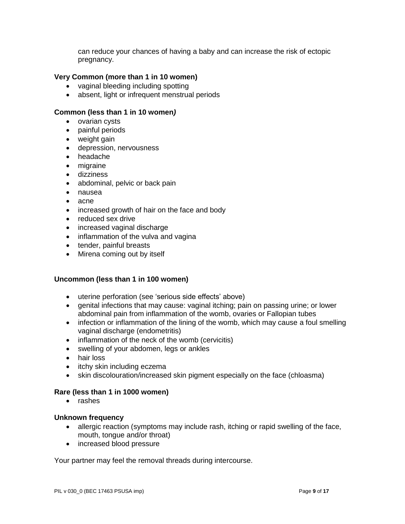can reduce your chances of having a baby and can increase the risk of ectopic pregnancy.

### **Very Common (more than 1 in 10 women)**

- vaginal bleeding including spotting
- absent, light or infrequent menstrual periods

### **Common (less than 1 in 10 women***)*

- ovarian cysts
- painful periods
- weight gain
- depression, nervousness
- headache
- migraine
- dizziness
- abdominal, pelvic or back pain
- nausea
- acne
- increased growth of hair on the face and body
- reduced sex drive
- increased vaginal discharge
- inflammation of the vulva and vagina
- tender, painful breasts
- Mirena coming out by itself

### **Uncommon (less than 1 in 100 women)**

- uterine perforation (see 'serious side effects' above)
- genital infections that may cause: vaginal itching; pain on passing urine; or lower abdominal pain from inflammation of the womb, ovaries or Fallopian tubes
- infection or inflammation of the lining of the womb, which may cause a foul smelling vaginal discharge (endometritis)
- inflammation of the neck of the womb (cervicitis)
- swelling of your abdomen, legs or ankles
- hair loss
- itchy skin including eczema
- skin discolouration/increased skin pigment especially on the face (chloasma)

### **Rare (less than 1 in 1000 women)**

• rashes

### **Unknown frequency**

- allergic reaction (symptoms may include rash, itching or rapid swelling of the face, mouth, tongue and/or throat)
- increased blood pressure

Your partner may feel the removal threads during intercourse.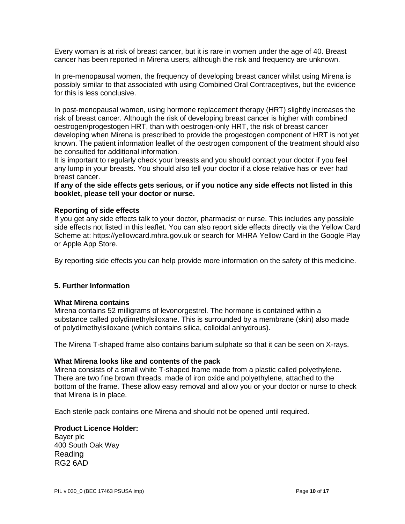Every woman is at risk of breast cancer, but it is rare in women under the age of 40. Breast cancer has been reported in Mirena users, although the risk and frequency are unknown.

In pre-menopausal women, the frequency of developing breast cancer whilst using Mirena is possibly similar to that associated with using Combined Oral Contraceptives, but the evidence for this is less conclusive.

In post-menopausal women, using hormone replacement therapy (HRT) slightly increases the risk of breast cancer. Although the risk of developing breast cancer is higher with combined oestrogen/progestogen HRT, than with oestrogen-only HRT, the risk of breast cancer developing when Mirena is prescribed to provide the progestogen component of HRT is not yet known. The patient information leaflet of the oestrogen component of the treatment should also be consulted for additional information.

It is important to regularly check your breasts and you should contact your doctor if you feel any lump in your breasts. You should also tell your doctor if a close relative has or ever had breast cancer.

**If any of the side effects gets serious, or if you notice any side effects not listed in this booklet, please tell your doctor or nurse.** 

### **Reporting of side effects**

If you get any side effects talk to your doctor, pharmacist or nurse. This includes any possible side effects not listed in this leaflet. You can also report side effects directly via the Yellow Card Scheme at: https://yellowcard.mhra.gov.uk or search for MHRA Yellow Card in the Google Play or Apple App Store.

By reporting side effects you can help provide more information on the safety of this medicine.

### **5. Further Information**

### **What Mirena contains**

Mirena contains 52 milligrams of levonorgestrel. The hormone is contained within a substance called polydimethylsiloxane. This is surrounded by a membrane (skin) also made of polydimethylsiloxane (which contains silica, colloidal anhydrous).

The Mirena T-shaped frame also contains barium sulphate so that it can be seen on X-rays.

### **What Mirena looks like and contents of the pack**

Mirena consists of a small white T-shaped frame made from a plastic called polyethylene. There are two fine brown threads, made of iron oxide and polyethylene, attached to the bottom of the frame. These allow easy removal and allow you or your doctor or nurse to check that Mirena is in place.

Each sterile pack contains one Mirena and should not be opened until required.

#### **Product Licence Holder:**  Bayer plc

400 South Oak Way Reading RG2 6AD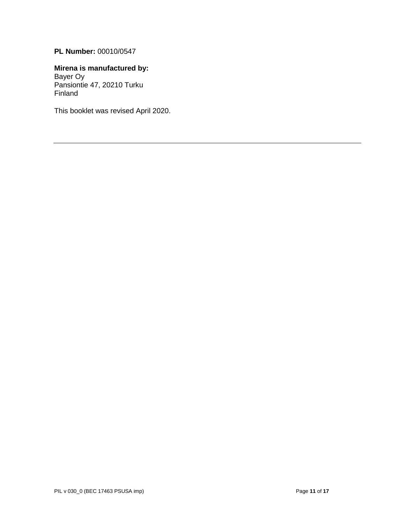# **PL Number:** 00010/0547

### **Mirena is manufactured by:**  Bayer Oy Pansiontie 47, 20210 Turku

Finland

This booklet was revised April 2020.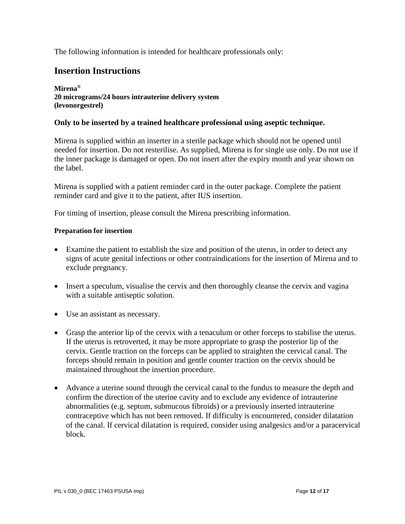The following information is intended for healthcare professionals only:

# **Insertion Instructions**

### **Mirena® 20 micrograms/24 hours intrauterine delivery system (levonorgestrel)**

# **Only to be inserted by a trained healthcare professional using aseptic technique.**

Mirena is supplied within an inserter in a sterile package which should not be opened until needed for insertion. Do not resterilise. As supplied, Mirena is for single use only. Do not use if the inner package is damaged or open. Do not insert after the expiry month and year shown on the label.

Mirena is supplied with a patient reminder card in the outer package. Complete the patient reminder card and give it to the patient, after IUS insertion.

For timing of insertion, please consult the Mirena prescribing information.

### **Preparation for insertion**

- Examine the patient to establish the size and position of the uterus, in order to detect any signs of acute genital infections or other contraindications for the insertion of Mirena and to exclude pregnancy.
- Insert a speculum, visualise the cervix and then thoroughly cleanse the cervix and vagina with a suitable antiseptic solution.
- Use an assistant as necessary.
- Grasp the anterior lip of the cervix with a tenaculum or other forceps to stabilise the uterus. If the uterus is retroverted, it may be more appropriate to grasp the posterior lip of the cervix. Gentle traction on the forceps can be applied to straighten the cervical canal. The forceps should remain in position and gentle counter traction on the cervix should be maintained throughout the insertion procedure.
- Advance a uterine sound through the cervical canal to the fundus to measure the depth and confirm the direction of the uterine cavity and to exclude any evidence of intrauterine abnormalities (e.g. septum, submucous fibroids) or a previously inserted intrauterine contraceptive which has not been removed. If difficulty is encountered, consider dilatation of the canal. If cervical dilatation is required, consider using analgesics and/or a paracervical block.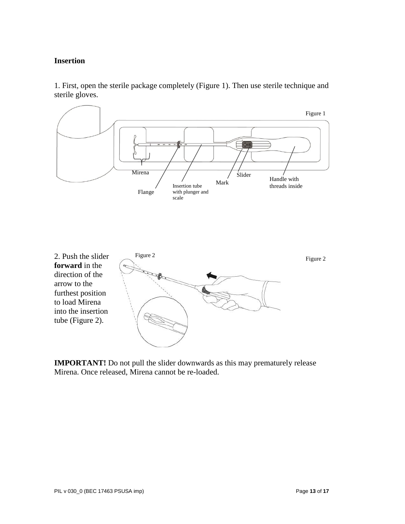# **Insertion**

1. First, open the sterile package completely (Figure 1). Then use sterile technique and sterile gloves.



**IMPORTANT!** Do not pull the slider downwards as this may prematurely release Mirena. Once released, Mirena cannot be re-loaded.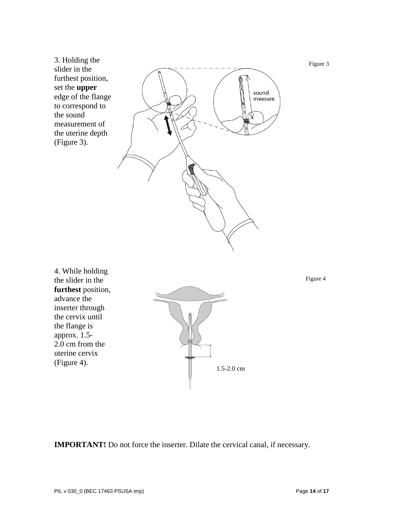3. Holding the slider in the furthest position, set the **upper** edge of the flange to correspond to the sound measurement of the uterine depth (Figure 3).



4. While holding the slider in the **furthest** position, advance the inserter through the cervix until the flange is approx. 1.5- 2.0 cm from the uterine cervix (Figure 4).



Figure 4

Figure 3

**IMPORTANT!** Do not force the inserter. Dilate the cervical canal, if necessary.

PIL v 030\_0 (BEC 17463 PSUSA imp) **Page 14** of 17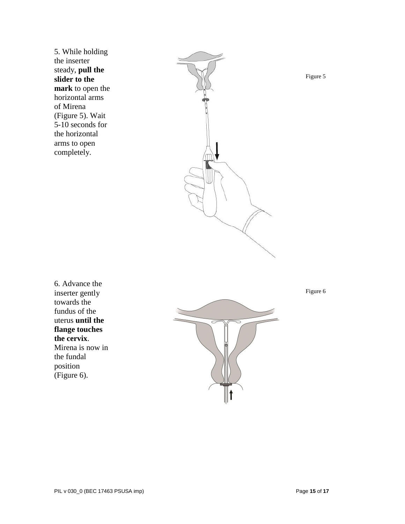5. While holding the inserter steady, **pull the slider to the mark** to open the horizontal arms of Mirena (Figure 5). Wait 5-10 seconds for the horizontal arms to open completely.



Figure 5

6. Advance the inserter gently towards the fundus of the uterus **until the flange touches the cervix**. Mirena is now in the fundal position (Figure 6).



Figure 6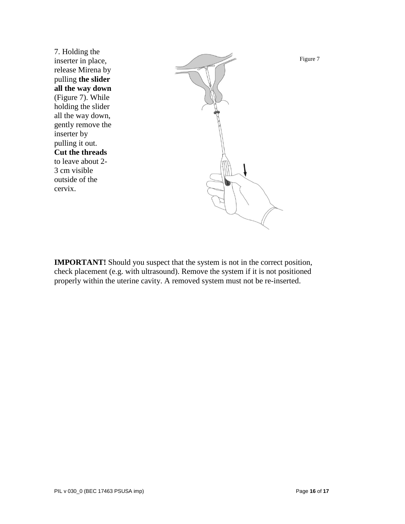7. Holding the inserter in place, release Mirena by pulling **the slider all the way down** (Figure 7). While holding the slider all the way down, gently remove the inserter by pulling it out. **Cut the threads** to leave about 2- 3 cm visible outside of the cervix.



**IMPORTANT!** Should you suspect that the system is not in the correct position, check placement (e.g. with ultrasound). Remove the system if it is not positioned properly within the uterine cavity. A removed system must not be re-inserted.

Figure 7